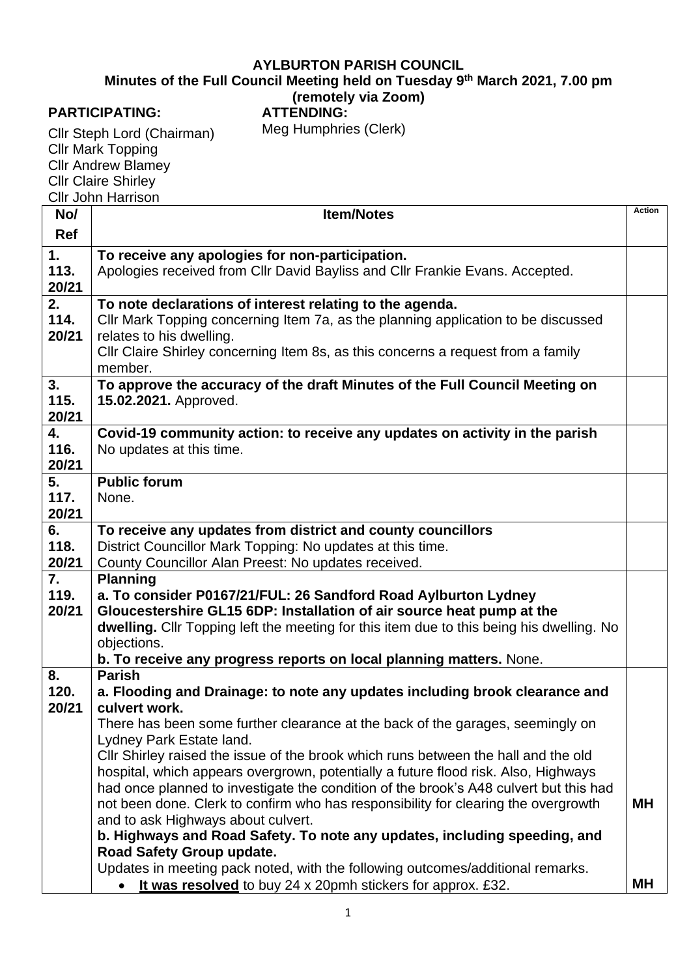## **AYLBURTON PARISH COUNCIL**

**Minutes of the Full Council Meeting held on Tuesday 9 th March 2021, 7.00 pm**

## **(remotely via Zoom)**

## **PARTICIPATING:**

**ATTENDING:** Meg Humphries (Clerk)

Cllr Steph Lord (Chairman) Cllr Mark Topping Cllr Andrew Blamey Cllr Claire Shirley Cllr John Harrison

| No/           | <b>Item/Notes</b>                                                                                                                                                        | <b>Action</b> |
|---------------|--------------------------------------------------------------------------------------------------------------------------------------------------------------------------|---------------|
| <b>Ref</b>    |                                                                                                                                                                          |               |
| 1.            | To receive any apologies for non-participation.                                                                                                                          |               |
| 113.          | Apologies received from Cllr David Bayliss and Cllr Frankie Evans. Accepted.                                                                                             |               |
| 20/21         |                                                                                                                                                                          |               |
| 2.<br>114.    | To note declarations of interest relating to the agenda.                                                                                                                 |               |
| 20/21         | Cllr Mark Topping concerning Item 7a, as the planning application to be discussed<br>relates to his dwelling.                                                            |               |
|               | CIIr Claire Shirley concerning Item 8s, as this concerns a request from a family                                                                                         |               |
|               | member.                                                                                                                                                                  |               |
| 3.            | To approve the accuracy of the draft Minutes of the Full Council Meeting on                                                                                              |               |
| 115.          | 15.02.2021. Approved.                                                                                                                                                    |               |
| 20/21         |                                                                                                                                                                          |               |
| 4.            | Covid-19 community action: to receive any updates on activity in the parish                                                                                              |               |
| 116.          | No updates at this time.                                                                                                                                                 |               |
| 20/21<br>5.   | <b>Public forum</b>                                                                                                                                                      |               |
| 117.          | None.                                                                                                                                                                    |               |
| 20/21         |                                                                                                                                                                          |               |
| 6.            | To receive any updates from district and county councillors                                                                                                              |               |
| 118.          | District Councillor Mark Topping: No updates at this time.                                                                                                               |               |
| 20/21         | County Councillor Alan Preest: No updates received.                                                                                                                      |               |
| 7.            | <b>Planning</b>                                                                                                                                                          |               |
| 119.<br>20/21 | a. To consider P0167/21/FUL: 26 Sandford Road Aylburton Lydney                                                                                                           |               |
|               | Gloucestershire GL15 6DP: Installation of air source heat pump at the<br>dwelling. Cllr Topping left the meeting for this item due to this being his dwelling. No        |               |
|               | objections.                                                                                                                                                              |               |
|               | b. To receive any progress reports on local planning matters. None.                                                                                                      |               |
| 8.            | <b>Parish</b>                                                                                                                                                            |               |
| 120.          | a. Flooding and Drainage: to note any updates including brook clearance and                                                                                              |               |
| 20/21         | culvert work.                                                                                                                                                            |               |
|               | There has been some further clearance at the back of the garages, seemingly on                                                                                           |               |
|               | Lydney Park Estate land.                                                                                                                                                 |               |
|               | CIIr Shirley raised the issue of the brook which runs between the hall and the old<br>hospital, which appears overgrown, potentially a future flood risk. Also, Highways |               |
|               | had once planned to investigate the condition of the brook's A48 culvert but this had                                                                                    |               |
|               | not been done. Clerk to confirm who has responsibility for clearing the overgrowth                                                                                       | <b>MH</b>     |
|               | and to ask Highways about culvert.                                                                                                                                       |               |
|               | b. Highways and Road Safety. To note any updates, including speeding, and                                                                                                |               |
|               | Road Safety Group update.                                                                                                                                                |               |
|               | Updates in meeting pack noted, with the following outcomes/additional remarks.                                                                                           |               |
|               | It was resolved to buy 24 x 20pmh stickers for approx. £32.                                                                                                              | МH            |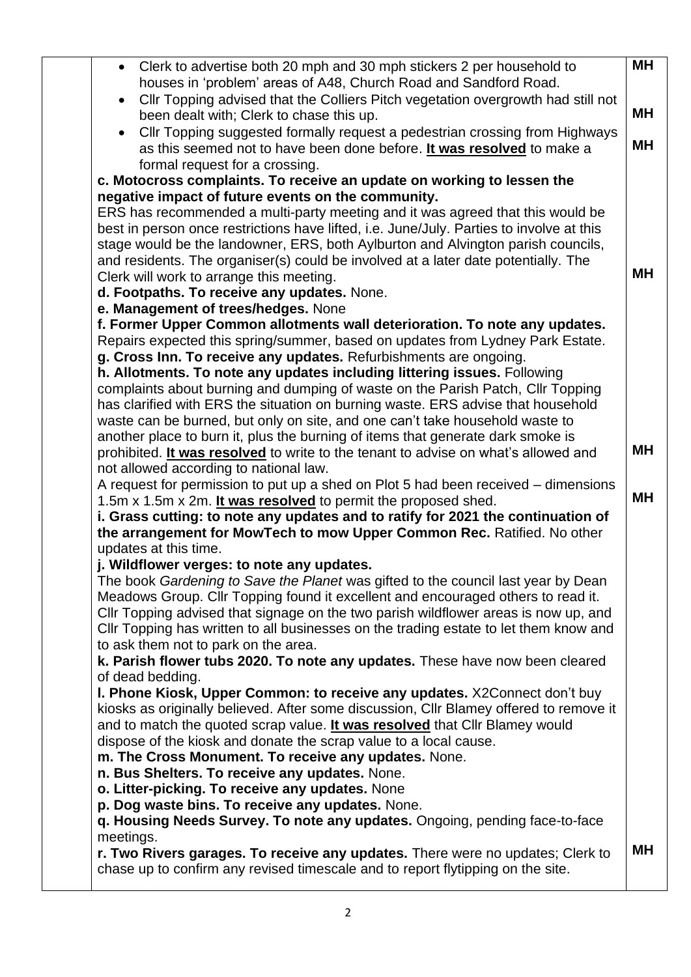| Clerk to advertise both 20 mph and 30 mph stickers 2 per household to<br>$\bullet$<br>houses in 'problem' areas of A48, Church Road and Sandford Road.                                                                                                                                                                                                | MН        |
|-------------------------------------------------------------------------------------------------------------------------------------------------------------------------------------------------------------------------------------------------------------------------------------------------------------------------------------------------------|-----------|
| Cllr Topping advised that the Colliers Pitch vegetation overgrowth had still not<br>been dealt with; Clerk to chase this up.                                                                                                                                                                                                                          | MН        |
| Cllr Topping suggested formally request a pedestrian crossing from Highways<br>as this seemed not to have been done before. It was resolved to make a                                                                                                                                                                                                 | MН        |
| formal request for a crossing.<br>c. Motocross complaints. To receive an update on working to lessen the                                                                                                                                                                                                                                              |           |
| negative impact of future events on the community.                                                                                                                                                                                                                                                                                                    |           |
| ERS has recommended a multi-party meeting and it was agreed that this would be<br>best in person once restrictions have lifted, i.e. June/July. Parties to involve at this                                                                                                                                                                            |           |
| stage would be the landowner, ERS, both Aylburton and Alvington parish councils,<br>and residents. The organiser(s) could be involved at a later date potentially. The                                                                                                                                                                                |           |
| Clerk will work to arrange this meeting.                                                                                                                                                                                                                                                                                                              | <b>MH</b> |
| d. Footpaths. To receive any updates. None.                                                                                                                                                                                                                                                                                                           |           |
| e. Management of trees/hedges. None                                                                                                                                                                                                                                                                                                                   |           |
| f. Former Upper Common allotments wall deterioration. To note any updates.<br>Repairs expected this spring/summer, based on updates from Lydney Park Estate.                                                                                                                                                                                          |           |
| g. Cross Inn. To receive any updates. Refurbishments are ongoing.<br>h. Allotments. To note any updates including littering issues. Following                                                                                                                                                                                                         |           |
| complaints about burning and dumping of waste on the Parish Patch, Cllr Topping                                                                                                                                                                                                                                                                       |           |
| has clarified with ERS the situation on burning waste. ERS advise that household                                                                                                                                                                                                                                                                      |           |
| waste can be burned, but only on site, and one can't take household waste to                                                                                                                                                                                                                                                                          |           |
| another place to burn it, plus the burning of items that generate dark smoke is<br>prohibited. It was resolved to write to the tenant to advise on what's allowed and                                                                                                                                                                                 | <b>MH</b> |
| not allowed according to national law.                                                                                                                                                                                                                                                                                                                |           |
| A request for permission to put up a shed on Plot 5 had been received – dimensions                                                                                                                                                                                                                                                                    |           |
| 1.5m x 1.5m x 2m. It was resolved to permit the proposed shed.                                                                                                                                                                                                                                                                                        | MН        |
| i. Grass cutting: to note any updates and to ratify for 2021 the continuation of                                                                                                                                                                                                                                                                      |           |
| the arrangement for MowTech to mow Upper Common Rec. Ratified. No other<br>updates at this time.                                                                                                                                                                                                                                                      |           |
| j. Wildflower verges: to note any updates.                                                                                                                                                                                                                                                                                                            |           |
| The book Gardening to Save the Planet was gifted to the council last year by Dean<br>Meadows Group. Cllr Topping found it excellent and encouraged others to read it.<br>CIIr Topping advised that signage on the two parish wildflower areas is now up, and<br>CIIr Topping has written to all businesses on the trading estate to let them know and |           |
| to ask them not to park on the area.<br>k. Parish flower tubs 2020. To note any updates. These have now been cleared<br>of dead bedding.                                                                                                                                                                                                              |           |
| I. Phone Kiosk, Upper Common: to receive any updates. X2Connect don't buy                                                                                                                                                                                                                                                                             |           |
| kiosks as originally believed. After some discussion, Cllr Blamey offered to remove it                                                                                                                                                                                                                                                                |           |
| and to match the quoted scrap value. It was resolved that Cllr Blamey would                                                                                                                                                                                                                                                                           |           |
| dispose of the kiosk and donate the scrap value to a local cause.<br>m. The Cross Monument. To receive any updates. None.                                                                                                                                                                                                                             |           |
| n. Bus Shelters. To receive any updates. None.                                                                                                                                                                                                                                                                                                        |           |
| o. Litter-picking. To receive any updates. None                                                                                                                                                                                                                                                                                                       |           |
| p. Dog waste bins. To receive any updates. None.                                                                                                                                                                                                                                                                                                      |           |
| q. Housing Needs Survey. To note any updates. Ongoing, pending face-to-face                                                                                                                                                                                                                                                                           |           |
| meetings.                                                                                                                                                                                                                                                                                                                                             | <b>MH</b> |
| r. Two Rivers garages. To receive any updates. There were no updates; Clerk to<br>chase up to confirm any revised timescale and to report flytipping on the site.                                                                                                                                                                                     |           |
|                                                                                                                                                                                                                                                                                                                                                       |           |